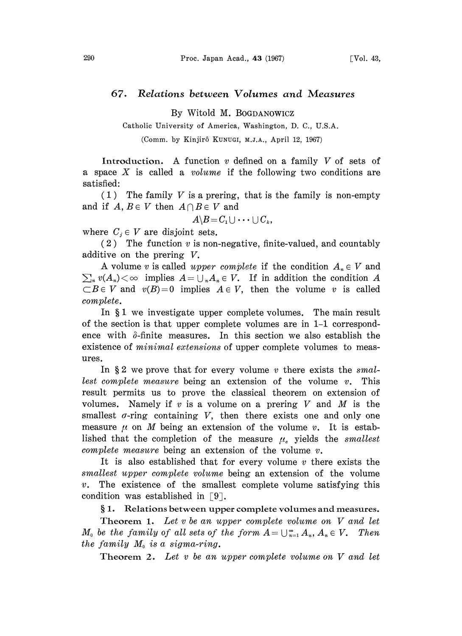## 67. Relations between Volumes and Measures

By Witold M. BOGDANOWlCZ

Catholic University of America, Washington, D. C., U.S.A.

(Comm. by Kinjir6 KUNUGI, M.J.A., April 12, 1967)

Introduction. A function  $v$  defined on a family  $V$  of sets of a space X is called a *volume* if the following two conditions are satisfied:

 $(1)$  The family V is a prering, that is the family is non-empty and if  $A, B \in V$  then  $A \cap B \in V$  and

$$
A \backslash B = C_1 \cup \cdots \cup C_k,
$$

where  $C_i \in V$  are disjoint sets.

 $(2)$  The function v is non-negative, finite-valued, and countably additive on the prering V.

A volume v is called upper complete if the condition  $A_n \in V$  and  $\sum_{n} v(A_n) < \infty$  implies  $A = \bigcup_{n} A_n \in V$ . If in addition the condition A  $\subset$ B $\in$  V and  $v(B)=0$  implies  $A \in V$ , then the volume v is called complete.

In  $\S 1$  we investigate upper complete volumes. The main result of the section is that upper complete volumes are in 1-1 correspondence with  $\delta$ -finite measures. In this section we also establish the existence of *minimal extensions* of upper complete volumes to measures.

In  $\S 2$  we prove that for every volume v there exists the smallest complete measure being an extension of the volume  $v$ . This result permits us to prove the classical theorem on extension of volumes. Namely if  $v$  is a volume on a prering  $V$  and  $M$  is the smallest  $\sigma$ -ring containing  $V$ , then there exists one and only one measure  $\mu$  on M being an extension of the volume v. It is established that the completion of the measure  $\mu_c$  yields the smallest complete measure being an extension of the volume  $v$ .

It is also established that for every volume  $v$  there exists the smallest upper complete volume being an extension of the volume  $v$ . The existence of the smallest complete volume satisfying this condition was established in  $[9]$ .

1. Relations between upper complete volumes and measures.

Theorem 1. Let  $v$  be an upper complete volume on  $V$  and let  $M_0$  be the family of all sets of the form  $A = \bigcup_{n=1}^{\infty} A_n$ ,  $A_n \in V$ . Then the family  $M_0$  is a sigma-ring.

Theorem 2. Let v be an upper complete volume on V and let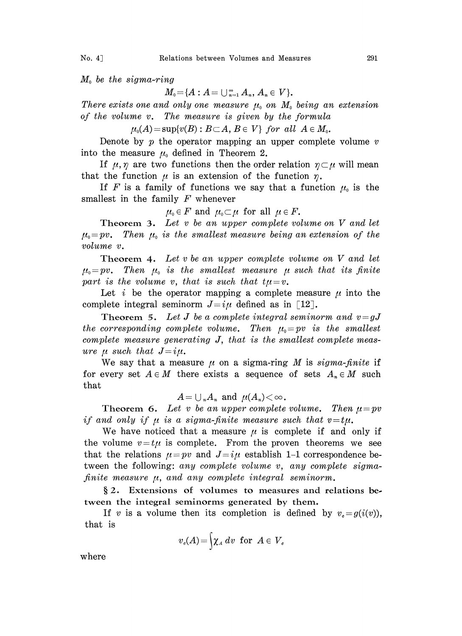$M_0$  be the sigma-ring

 $M_0 = \{A : A = \bigcup_{n=1}^{\infty} A_n, A_n \in V\}.$ 

There exists one and only one measure  $\mu_0$  on  $M_0$  being an extension of the volume v. The measure is given by the formula

 $\mu_0(A) = \sup \{v(B) : B \subset A, B \in V\}$  for all  $A \in M_0$ .

Denote by  $p$  the operator mapping an upper complete volume  $v$ into the measure  $\mu_0$  defined in Theorem 2.

If  $\mu, \eta$  are two functions then the order relation  $\eta \subset \mu$  will mean that the function  $\mu$  is an extension of the function  $\eta$ .

If F is a family of functions we say that a function  $\mu_0$  is the smallest in the family  $F$  whenever

$$
\mu_0 \in F \text{ and } \mu_0 \subset \mu \text{ for all } \mu \in F.
$$

Theorem 3. Let  $v$  be an upper complete volume on  $V$  and let  $\mu_{\scriptscriptstyle 0}=pv$ . Then  $\mu_{\scriptscriptstyle 0}$  is the smallest measure being an extension of the volume v.

Theorem 4. Let  $v$  be an upper complete volume on  $V$  and let  $\mu_0=pv$ . Then  $\mu_0$  is the smallest measure  $\mu$  such that its finite part is the volume v, that is such that  $t\mu=v$ .

Let i be the operator mapping a complete measure  $\mu$  into the complete integral seminorm  $J=i\mu$  defined as in [12].

Theorem 5. Let J be a complete integral seminorm and  $v = gJ$ the corresponding complete volume. Then  $\mu_0=pv$  is the smallest complete measure generating J, that is the smallest complete measure  $\mu$  such that  $J=i\mu$ .

We say that a measure  $\mu$  on a sigma-ring M is sigma-finite if for every set  $A \in M$  there exists a sequence of sets  $A_n \in M$  such that

$$
A=\cup_{n} A_{n} \text{ and } \mu(A_{n})<\infty.
$$

Theorem 6. Let v be an upper complete volume. Then  $\mu = pv$ if and only if  $\mu$  is a sigma-finite measure such that  $v=t\mu$ .

We have noticed that a measure  $\mu$  is complete if and only if the volume  $v=t\mu$  is complete. From the proven theorems we see that the relations  $\mu = pv$  and  $J=i\mu$  establish 1-1 correspondence between the following: any complete volume v, any complete sigmafinite measure  $\mu$ , and any complete integral seminorm.

§2. Extensions of volumes to measures and relations between the integral seminorms generated by them.

If v is a volume then its completion is defined by  $v_e = g(i(v))$ , that is

$$
v_c(A)\!=\!\biggr\{\pmb{\chi}_{{\scriptscriptstyle{A}}}\,d\hspace{0.025cm}v\;\;{\rm for}\;\;A\in\hspace{0.05cm}V_c
$$

where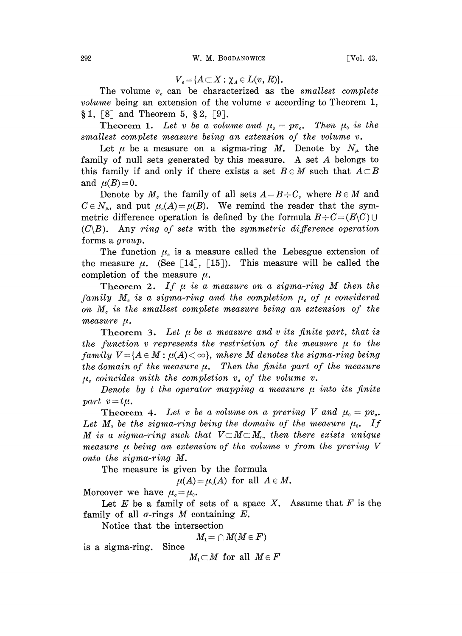$$
V_{c} = \{A \subset X : \chi_{a} \in L(v, R)\}.
$$

The volume  $v_c$  can be characterized as the smallest complete volume being an extension of the volume  $v$  according to Theorem 1,  $\S 1, [8]$  and Theorem 5,  $\S 2, [9]$ .

Theorem 1. Let v be a volume and  $\mu_0 = pv_c$ . Then  $\mu_0$  is the smallest complete measure being an extension of the volume v.

Let  $\mu$  be a measure on a sigma-ring M. Denote by  $N_{\mu}$  the family of null sets generated by this measure. A set A belongs to this family if and only if there exists a set  $B \in M$  such that  $A \subset B$ and  $\mu(B) = 0$ .

Denote by  $M_c$  the family of all sets  $A=B\div C$ , where  $B\in M$  and  $C \in N_{\mu}$ , and put  $\mu_{\epsilon}(A) = \mu(B)$ . We remind the reader that the symmetric difference operation is defined by the formula  $B \div C = (B \setminus C) \cup$  $(C\setminus B)$ . Any ring of sets with the symmetric difference operation forms a group.

The function  $\mu_{\epsilon}$  is a measure called the Lebesgue extension of the measure  $\mu$ . (See [14], [15]). This measure will be called the completion of the measure  $\mu$ .

Theorem 2. If  $\mu$  is a measure on a sigma-ring M then the family  $M_c$  is a sigma-ring and the completion  $\mu_c$  of  $\mu$  considered on  $M<sub>c</sub>$  is the smallest complete measure being an extension of the measure  $\mu$ .

Theorem 3. Let  $\mu$  be a measure and v its finite part, that is the function v represents the restriction of the measure  $\mu$  to the family  $V = \{A \in M : \mu(A) < \infty\}$ , mhere M denotes the sigma-ring being the domain of the measure  $\mu$ . Then the finite part of the measure  $\mu_c$  coincides mith the completion  $v_c$  of the volume v.

Denote by t the operator mapping a measure  $\mu$  into its finite part  $v = t\mu$ .

**Theorem 4.** Let v be a volume on a prering V and  $\mu_0 = pv_c$ . Let  $M_0$  be the sigma-ring being the domain of the measure  $\mu_0$ . If M is a sigma-ring such that  $V\subset M\subset M_0$ , then there exists unique measure  $\mu$  being an extension of the volume v from the prering V onto the sigma-ring M.

The measure is given by the formula

 $\mu(A) = \mu_0(A)$  for all  $A \in M$ .

Moreover we have  $\mu_{\rm c}=\mu_{\rm o}$ .

Let  $E$  be a family of sets of a space  $X$ . Assume that  $F$  is the family of all  $\sigma$ -rings M containing E.

Notice that the intersection

$$
M_1\!=\cap M(M\!\in\!F)
$$

is a sigma-ring. Since

 $M_1 \subset M$  for all  $M \in F$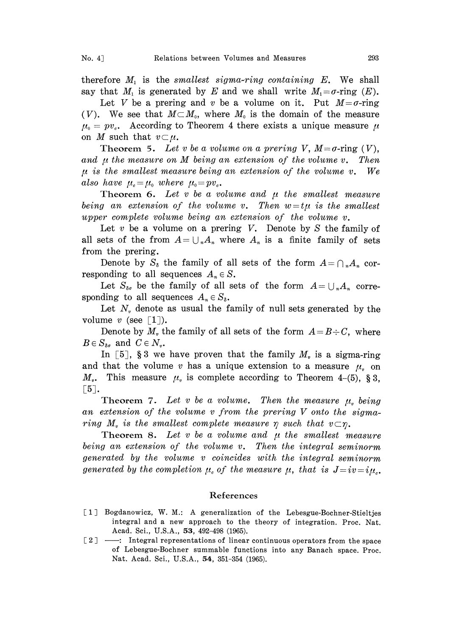therefore  $M_1$  is the smallest sigma-ring containing  $E$ . We shall say that  $M_1$  is generated by E and we shall write  $M_1 = \sigma$ -ring  $(E)$ .

Let V be a prering and v be a volume on it. Put  $M = \sigma$ -ring (V). We see that  $M \subset M_0$ , where  $M_0$  is the domain of the measure  $\mu_{0} = pv_{s}$ . According to Theorem 4 there exists a unique measure  $\mu$ on M such that  $v\subset\mu$ .

Theorem 5. Let v be a volume on a prering V,  $M = \sigma$ -ring (V), and  $\mu$  the measure on M being an extension of the volume v. Then  $\mu$  is the smallest measure being an extension of the volume v. We also have  $\mu_{c}=\mu_{0}$  where  $\mu_{0}=pv_{c}$ .

Theorem 6. Let  $v$  be a volume and  $\mu$  the smallest measure being an extension of the volume v. Then  $w = t\mu$  is the smallest upper complete volume being an extension of the volume v.

Let  $v$  be a volume on a prering  $V$ . Denote by  $S$  the family of all sets of the from  $A = \bigcup_{n} A_n$  where  $A_n$  is a finite family of sets from the prering.

Denote by  $S_{\delta}$  the family of all sets of the form  $A=\bigcap_{n}A_{n}$  corresponding to all sequences  $A_n \in S$ .

Let  $S_{\delta\sigma}$  be the family of all sets of the form  $A=\bigcup_{n}A_n$  corresponding to all sequences  $A_n \in S_{\delta}$ .

Let  $N<sub>v</sub>$  denote as usual the family of null sets generated by the volume v (see  $\lceil 1 \rceil$ ).

Denote by  $M<sub>v</sub>$  the family of all sets of the form  $A = B \div C$ , where  $B \in S_{\delta g}$  and  $C \in N_{\nu}$ .

In [5], § 3 we have proven that the family  $M<sub>v</sub>$  is a sigma-ring and that the volume v has a unique extension to a measure  $\mu$  on  $M_v$ . This measure  $\mu_v$  is complete according to Theorem 4-(5), § 3,  $\lceil 5 \rceil$ .

Theorem 7. Let v be a volume. Then the measure  $\mu_{\mu}$  being an extension of the volume <sup>v</sup> from the prering V onto the sigmaring  $M_r$  is the smallest complete measure  $\eta$  such that  $v \subset \eta$ .

Theorem 8. Let  $v$  be a volume and  $\mu$  the smallest measure being an extension of the volume v. Then the integral seminorm generated by the volume v coincides with the integral seminorm generated by the completion  $\mu_c$  of the measure  $\mu$ , that is  $J=iv=i\mu_c$ .

## References

- [1] Bogdanowicz, W. M.: A generalization of the Lebesgue-Bochner-Stieltjes integral and a new approach to the theory of integration. Proc. Nat. Acad. Sci., U.S.A., 53, 492-498 (1965).
- [2] —: Integral representations of linear continuous operators from the space of Lebesgue-Bochner summable functions into any Banach space. Proc. Nat. Acad. Sci., U.S.A., 54, 351-354 (1965).